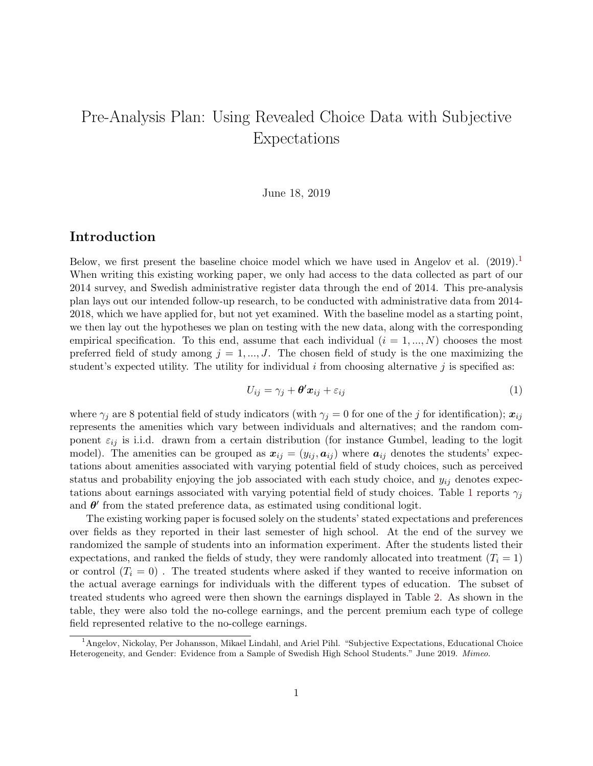# Pre-Analysis Plan: Using Revealed Choice Data with Subjective Expectations

June 18, 2019

# Introduction

Below, we first present the baseline choice model which we have used in Angelov et al.  $(2019)^{11}$  $(2019)^{11}$  $(2019)^{11}$ When writing this existing working paper, we only had access to the data collected as part of our 2014 survey, and Swedish administrative register data through the end of 2014. This pre-analysis plan lays out our intended follow-up research, to be conducted with administrative data from 2014- 2018, which we have applied for, but not yet examined. With the baseline model as a starting point, we then lay out the hypotheses we plan on testing with the new data, along with the corresponding empirical specification. To this end, assume that each individual  $(i = 1, ..., N)$  chooses the most preferred field of study among  $j = 1, ..., J$ . The chosen field of study is the one maximizing the student's expected utility. The utility for individual  $i$  from choosing alternative  $j$  is specified as:

<span id="page-0-1"></span>
$$
U_{ij} = \gamma_j + \theta' x_{ij} + \varepsilon_{ij}
$$
 (1)

where  $\gamma_j$  are 8 potential field of study indicators (with  $\gamma_j = 0$  for one of the j for identification);  $x_{ij}$ represents the amenities which vary between individuals and alternatives; and the random component  $\varepsilon_{ij}$  is i.i.d. drawn from a certain distribution (for instance Gumbel, leading to the logit model). The amenities can be grouped as  $x_{ij} = (y_{ij}, a_{ij})$  where  $a_{ij}$  denotes the students' expectations about amenities associated with varying potential field of study choices, such as perceived status and probability enjoying the job associated with each study choice, and  $y_{ij}$  denotes expec-tations about earnings associated with varying potential field of study choices. Table [1](#page-6-0) reports  $\gamma_i$ and  $\theta'$  from the stated preference data, as estimated using conditional logit.

The existing working paper is focused solely on the students' stated expectations and preferences over fields as they reported in their last semester of high school. At the end of the survey we randomized the sample of students into an information experiment. After the students listed their expectations, and ranked the fields of study, they were randomly allocated into treatment  $(T<sub>i</sub> = 1)$ or control  $(T<sub>i</sub> = 0)$ . The treated students where asked if they wanted to receive information on the actual average earnings for individuals with the different types of education. The subset of treated students who agreed were then shown the earnings displayed in Table [2.](#page-7-0) As shown in the table, they were also told the no-college earnings, and the percent premium each type of college field represented relative to the no-college earnings.

<span id="page-0-0"></span><sup>1</sup>Angelov, Nickolay, Per Johansson, Mikael Lindahl, and Ariel Pihl. "Subjective Expectations, Educational Choice Heterogeneity, and Gender: Evidence from a Sample of Swedish High School Students." June 2019. Mimeo.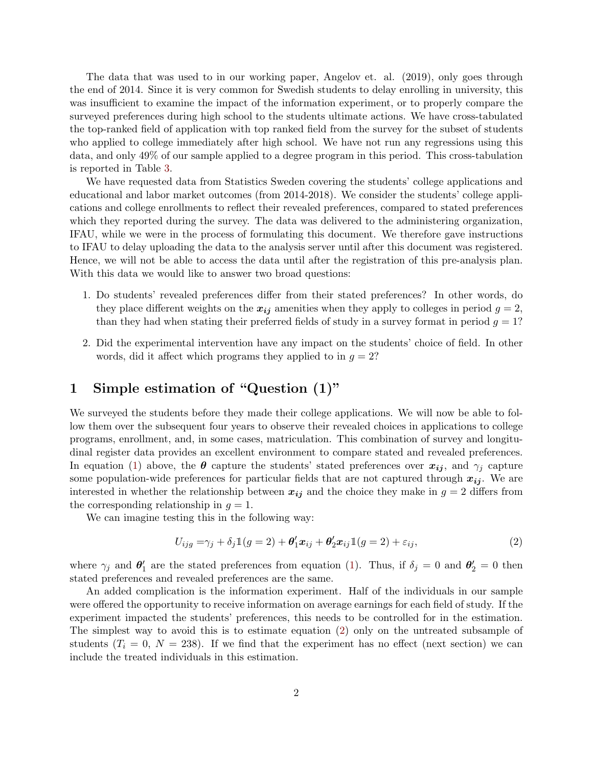The data that was used to in our working paper, Angelov et. al. (2019), only goes through the end of 2014. Since it is very common for Swedish students to delay enrolling in university, this was insufficient to examine the impact of the information experiment, or to properly compare the surveyed preferences during high school to the students ultimate actions. We have cross-tabulated the top-ranked field of application with top ranked field from the survey for the subset of students who applied to college immediately after high school. We have not run any regressions using this data, and only 49% of our sample applied to a degree program in this period. This cross-tabulation is reported in Table [3.](#page-8-0)

We have requested data from Statistics Sweden covering the students' college applications and educational and labor market outcomes (from 2014-2018). We consider the students' college applications and college enrollments to reflect their revealed preferences, compared to stated preferences which they reported during the survey. The data was delivered to the administering organization, IFAU, while we were in the process of formulating this document. We therefore gave instructions to IFAU to delay uploading the data to the analysis server until after this document was registered. Hence, we will not be able to access the data until after the registration of this pre-analysis plan. With this data we would like to answer two broad questions:

- 1. Do students' revealed preferences differ from their stated preferences? In other words, do they place different weights on the  $x_{ij}$  amenities when they apply to colleges in period  $g = 2$ , than they had when stating their preferred fields of study in a survey format in period  $g = 1$ ?
- 2. Did the experimental intervention have any impact on the students' choice of field. In other words, did it affect which programs they applied to in  $g = 2$ ?

# 1 Simple estimation of "Question (1)"

We surveyed the students before they made their college applications. We will now be able to follow them over the subsequent four years to observe their revealed choices in applications to college programs, enrollment, and, in some cases, matriculation. This combination of survey and longitudinal register data provides an excellent environment to compare stated and revealed preferences. In equation [\(1\)](#page-0-1) above, the  $\theta$  capture the students' stated preferences over  $x_{ij}$ , and  $\gamma_i$  capture some population-wide preferences for particular fields that are not captured through  $x_{ij}$ . We are interested in whether the relationship between  $x_{ij}$  and the choice they make in  $g = 2$  differs from the corresponding relationship in  $g = 1$ .

We can imagine testing this in the following way:

<span id="page-1-0"></span>
$$
U_{ijg} = \gamma_j + \delta_j \mathbb{1}(g=2) + \theta'_1 x_{ij} + \theta'_2 x_{ij} \mathbb{1}(g=2) + \varepsilon_{ij},\tag{2}
$$

where  $\gamma_j$  and  $\theta'_1$  are the stated preferences from equation [\(1\)](#page-0-1). Thus, if  $\delta_j = 0$  and  $\theta'_2 = 0$  then stated preferences and revealed preferences are the same.

An added complication is the information experiment. Half of the individuals in our sample were offered the opportunity to receive information on average earnings for each field of study. If the experiment impacted the students' preferences, this needs to be controlled for in the estimation. The simplest way to avoid this is to estimate equation [\(2\)](#page-1-0) only on the untreated subsample of students  $(T<sub>i</sub> = 0, N = 238)$ . If we find that the experiment has no effect (next section) we can include the treated individuals in this estimation.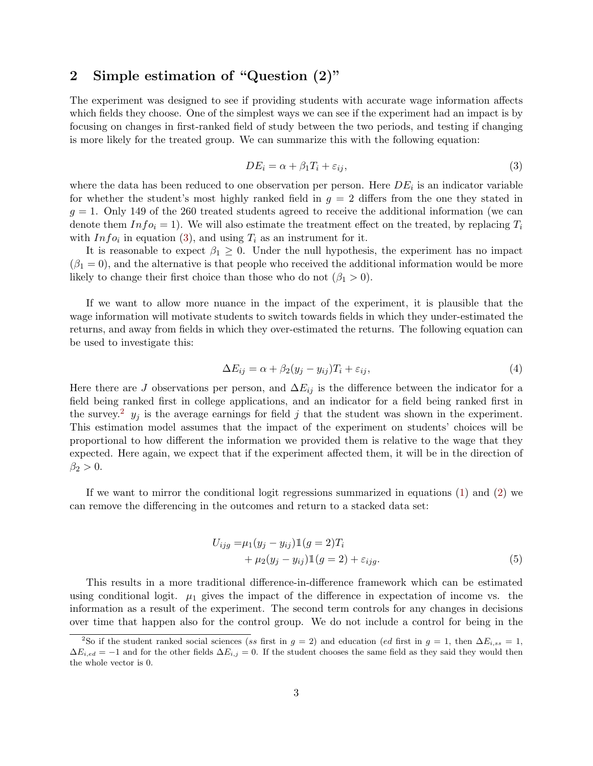# 2 Simple estimation of "Question (2)"

The experiment was designed to see if providing students with accurate wage information affects which fields they choose. One of the simplest ways we can see if the experiment had an impact is by focusing on changes in first-ranked field of study between the two periods, and testing if changing is more likely for the treated group. We can summarize this with the following equation:

<span id="page-2-0"></span>
$$
DE_i = \alpha + \beta_1 T_i + \varepsilon_{ij},\tag{3}
$$

where the data has been reduced to one observation per person. Here  $DE_i$  is an indicator variable for whether the student's most highly ranked field in  $g = 2$  differs from the one they stated in  $g = 1$ . Only 149 of the 260 treated students agreed to receive the additional information (we can denote them  $Info<sub>i</sub> = 1$ . We will also estimate the treatment effect on the treated, by replacing  $T_i$ with  $Info_i$  in equation [\(3\)](#page-2-0), and using  $T_i$  as an instrument for it.

It is reasonable to expect  $\beta_1 \geq 0$ . Under the null hypothesis, the experiment has no impact  $(\beta_1 = 0)$ , and the alternative is that people who received the additional information would be more likely to change their first choice than those who do not  $(\beta_1 > 0)$ .

If we want to allow more nuance in the impact of the experiment, it is plausible that the wage information will motivate students to switch towards fields in which they under-estimated the returns, and away from fields in which they over-estimated the returns. The following equation can be used to investigate this:

<span id="page-2-2"></span>
$$
\Delta E_{ij} = \alpha + \beta_2 (y_j - y_{ij}) T_i + \varepsilon_{ij}, \tag{4}
$$

Here there are J observations per person, and  $\Delta E_{ij}$  is the difference between the indicator for a field being ranked first in college applications, and an indicator for a field being ranked first in the survey.<sup>[2](#page-2-1)</sup>  $y_j$  is the average earnings for field j that the student was shown in the experiment. This estimation model assumes that the impact of the experiment on students' choices will be proportional to how different the information we provided them is relative to the wage that they expected. Here again, we expect that if the experiment affected them, it will be in the direction of  $\beta_2 > 0$ .

If we want to mirror the conditional logit regressions summarized in equations [\(1\)](#page-0-1) and [\(2\)](#page-1-0) we can remove the differencing in the outcomes and return to a stacked data set:

<span id="page-2-3"></span>
$$
U_{ijg} = \mu_1 (y_j - y_{ij}) \mathbb{1}(g = 2) T_i + \mu_2 (y_j - y_{ij}) \mathbb{1}(g = 2) + \varepsilon_{ijg}.
$$
 (5)

This results in a more traditional difference-in-difference framework which can be estimated using conditional logit.  $\mu_1$  gives the impact of the difference in expectation of income vs. the information as a result of the experiment. The second term controls for any changes in decisions over time that happen also for the control group. We do not include a control for being in the

<span id="page-2-1"></span><sup>&</sup>lt;sup>2</sup>So if the student ranked social sciences (ss first in  $g = 2$ ) and education (ed first in  $g = 1$ , then  $\Delta E_{i,ss} = 1$ ,  $\Delta E_{i,ed} = -1$  and for the other fields  $\Delta E_{i,j} = 0$ . If the student chooses the same field as they said they would then the whole vector is 0.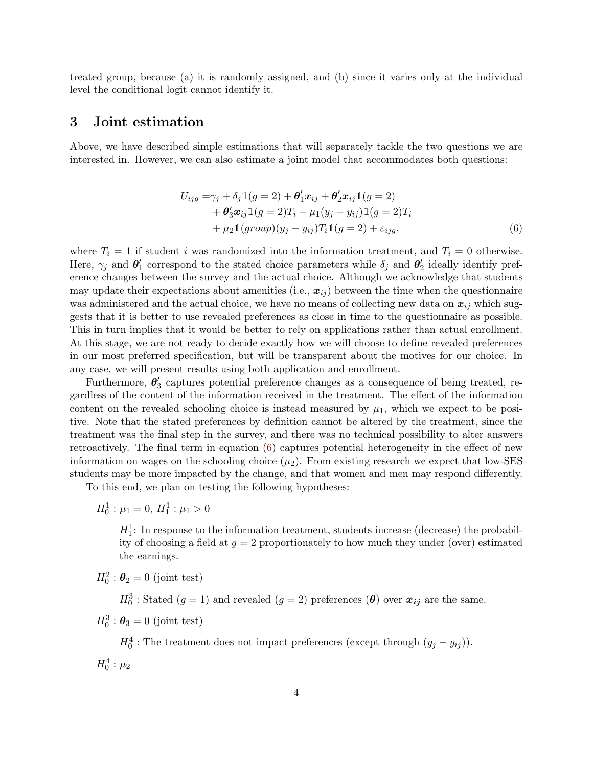treated group, because (a) it is randomly assigned, and (b) since it varies only at the individual level the conditional logit cannot identify it.

### 3 Joint estimation

Above, we have described simple estimations that will separately tackle the two questions we are interested in. However, we can also estimate a joint model that accommodates both questions:

<span id="page-3-0"></span>
$$
U_{ijg} = \gamma_j + \delta_j \mathbb{1}(g=2) + \theta'_1 x_{ij} + \theta'_2 x_{ij} \mathbb{1}(g=2)
$$
  
+ 
$$
\theta'_3 x_{ij} \mathbb{1}(g=2)T_i + \mu_1(y_j - y_{ij}) \mathbb{1}(g=2)T_i
$$
  
+ 
$$
\mu_2 \mathbb{1}(group)(y_j - y_{ij})T_i \mathbb{1}(g=2) + \varepsilon_{ijg},
$$
 (6)

where  $T_i = 1$  if student i was randomized into the information treatment, and  $T_i = 0$  otherwise. Here,  $\gamma_j$  and  $\theta'_1$  correspond to the stated choice parameters while  $\delta_j$  and  $\theta'_2$  ideally identify preference changes between the survey and the actual choice. Although we acknowledge that students may update their expectations about amenities (i.e.,  $x_{ij}$ ) between the time when the questionnaire was administered and the actual choice, we have no means of collecting new data on  $x_{ij}$  which suggests that it is better to use revealed preferences as close in time to the questionnaire as possible. This in turn implies that it would be better to rely on applications rather than actual enrollment. At this stage, we are not ready to decide exactly how we will choose to define revealed preferences in our most preferred specification, but will be transparent about the motives for our choice. In any case, we will present results using both application and enrollment.

Furthermore,  $\theta_3'$  captures potential preference changes as a consequence of being treated, regardless of the content of the information received in the treatment. The effect of the information content on the revealed schooling choice is instead measured by  $\mu_1$ , which we expect to be positive. Note that the stated preferences by definition cannot be altered by the treatment, since the treatment was the final step in the survey, and there was no technical possibility to alter answers retroactively. The final term in equation  $(6)$  captures potential heterogeneity in the effect of new information on wages on the schooling choice  $(\mu_2)$ . From existing research we expect that low-SES students may be more impacted by the change, and that women and men may respond differently.

To this end, we plan on testing the following hypotheses:

 $H_0^1$ :  $\mu_1 = 0, H_1^1$ :  $\mu_1 > 0$ 

 $H_1^1$ : In response to the information treatment, students increase (decrease) the probability of choosing a field at  $q = 2$  proportionately to how much they under (over) estimated the earnings.

 $H_0^2$ :  $\boldsymbol{\theta}_2 = 0$  (joint test)

 $H_0^3$ : Stated  $(g = 1)$  and revealed  $(g = 2)$  preferences  $(\theta)$  over  $x_{ij}$  are the same.

 $H_0^3$ :  $\boldsymbol{\theta}_3 = 0$  (joint test)

 $H_0^4$ : The treatment does not impact preferences (except through  $(y_j - y_{ij})$ ).  $H_0^4$ :  $\mu_2$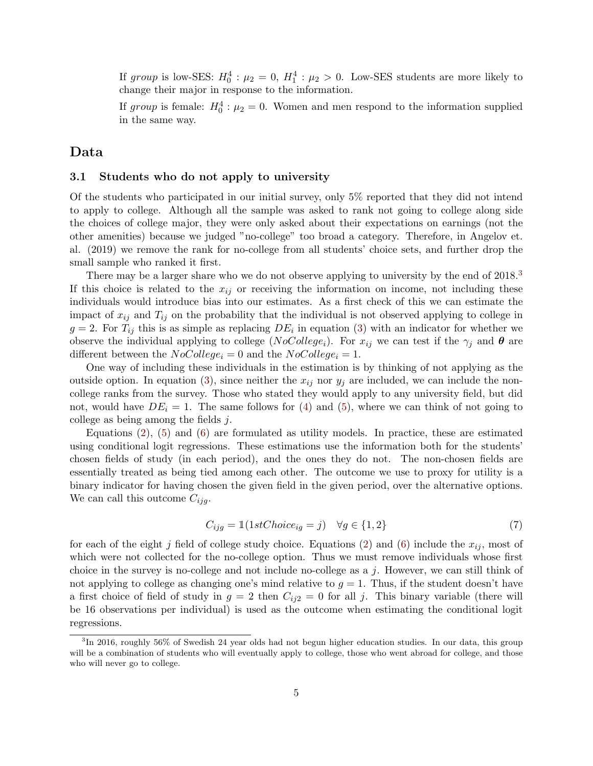If group is low-SES:  $H_0^4$ :  $\mu_2 = 0$ ,  $H_1^4$ :  $\mu_2 > 0$ . Low-SES students are more likely to change their major in response to the information.

If group is female:  $H_0^4$ :  $\mu_2 = 0$ . Women and men respond to the information supplied in the same way.

## Data

#### 3.1 Students who do not apply to university

Of the students who participated in our initial survey, only 5% reported that they did not intend to apply to college. Although all the sample was asked to rank not going to college along side the choices of college major, they were only asked about their expectations on earnings (not the other amenities) because we judged "no-college" too broad a category. Therefore, in Angelov et. al. (2019) we remove the rank for no-college from all students' choice sets, and further drop the small sample who ranked it first.

There may be a larger share who we do not observe applying to university by the end of 2018.<sup>[3](#page-4-0)</sup> If this choice is related to the  $x_{ij}$  or receiving the information on income, not including these individuals would introduce bias into our estimates. As a first check of this we can estimate the impact of  $x_{ij}$  and  $T_{ij}$  on the probability that the individual is not observed applying to college in  $g = 2$ . For  $T_{ij}$  this is as simple as replacing  $DE_i$  in equation [\(3\)](#page-2-0) with an indicator for whether we observe the individual applying to college (NoCollege<sub>i</sub>). For  $x_{ij}$  we can test if the  $\gamma_i$  and  $\theta$  are different between the  $NoCollect_i = 0$  and the  $NoCollect_i = 1$ .

One way of including these individuals in the estimation is by thinking of not applying as the outside option. In equation [\(3\)](#page-2-0), since neither the  $x_{ij}$  nor  $y_j$  are included, we can include the noncollege ranks from the survey. Those who stated they would apply to any university field, but did not, would have  $DE_i = 1$ . The same follows for [\(4\)](#page-2-2) and [\(5\)](#page-2-3), where we can think of not going to college as being among the fields j.

Equations [\(2\)](#page-1-0), [\(5\)](#page-2-3) and [\(6\)](#page-3-0) are formulated as utility models. In practice, these are estimated using conditional logit regressions. These estimations use the information both for the students' chosen fields of study (in each period), and the ones they do not. The non-chosen fields are essentially treated as being tied among each other. The outcome we use to proxy for utility is a binary indicator for having chosen the given field in the given period, over the alternative options. We can call this outcome  $C_{ijg}$ .

$$
C_{ijg} = \mathbb{1}(1stChoice_{ig} = j) \quad \forall g \in \{1, 2\}
$$
\n
$$
(7)
$$

for each of the eight j field of college study choice. Equations [\(2\)](#page-1-0) and [\(6\)](#page-3-0) include the  $x_{ij}$ , most of which were not collected for the no-college option. Thus we must remove individuals whose first choice in the survey is no-college and not include no-college as a  $j$ . However, we can still think of not applying to college as changing one's mind relative to  $g = 1$ . Thus, if the student doesn't have a first choice of field of study in  $g = 2$  then  $C_{ij2} = 0$  for all j. This binary variable (there will be 16 observations per individual) is used as the outcome when estimating the conditional logit regressions.

<span id="page-4-0"></span><sup>3</sup> In 2016, roughly 56% of Swedish 24 year olds had not begun higher education studies. In our data, this group will be a combination of students who will eventually apply to college, those who went abroad for college, and those who will never go to college.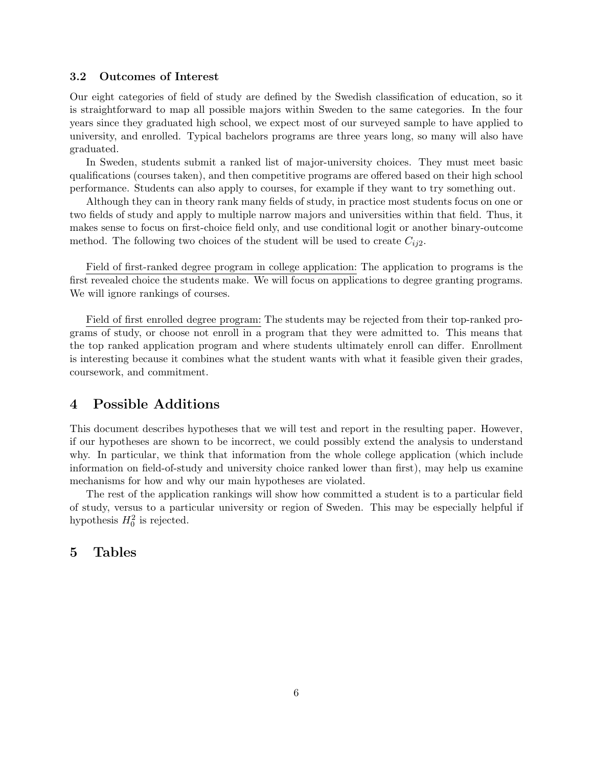#### 3.2 Outcomes of Interest

Our eight categories of field of study are defined by the Swedish classification of education, so it is straightforward to map all possible majors within Sweden to the same categories. In the four years since they graduated high school, we expect most of our surveyed sample to have applied to university, and enrolled. Typical bachelors programs are three years long, so many will also have graduated.

In Sweden, students submit a ranked list of major-university choices. They must meet basic qualifications (courses taken), and then competitive programs are offered based on their high school performance. Students can also apply to courses, for example if they want to try something out.

Although they can in theory rank many fields of study, in practice most students focus on one or two fields of study and apply to multiple narrow majors and universities within that field. Thus, it makes sense to focus on first-choice field only, and use conditional logit or another binary-outcome method. The following two choices of the student will be used to create  $C_{ij2}$ .

Field of first-ranked degree program in college application: The application to programs is the first revealed choice the students make. We will focus on applications to degree granting programs. We will ignore rankings of courses.

Field of first enrolled degree program: The students may be rejected from their top-ranked programs of study, or choose not enroll in a program that they were admitted to. This means that the top ranked application program and where students ultimately enroll can differ. Enrollment is interesting because it combines what the student wants with what it feasible given their grades, coursework, and commitment.

## 4 Possible Additions

This document describes hypotheses that we will test and report in the resulting paper. However, if our hypotheses are shown to be incorrect, we could possibly extend the analysis to understand why. In particular, we think that information from the whole college application (which include information on field-of-study and university choice ranked lower than first), may help us examine mechanisms for how and why our main hypotheses are violated.

The rest of the application rankings will show how committed a student is to a particular field of study, versus to a particular university or region of Sweden. This may be especially helpful if hypothesis  $H_0^2$  is rejected.

### 5 Tables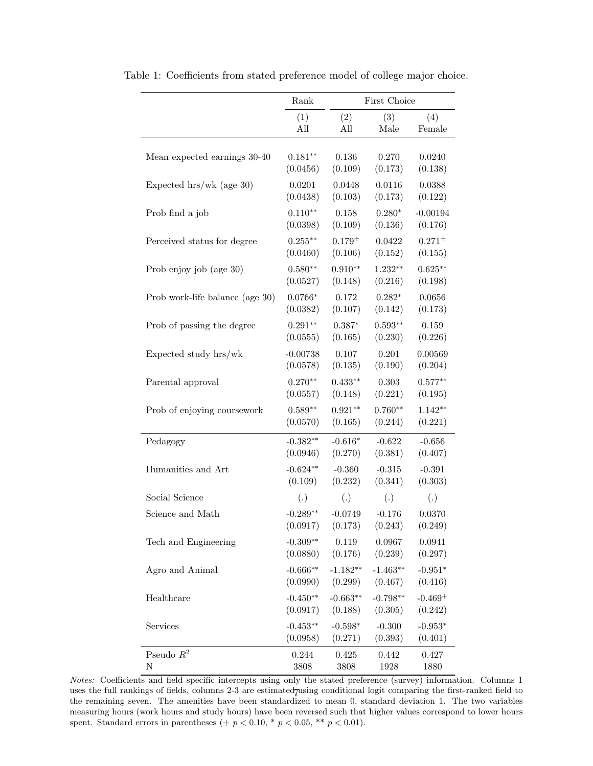|                                 | $\rm Rank$        | First Choice |            |                   |  |  |
|---------------------------------|-------------------|--------------|------------|-------------------|--|--|
|                                 | (1)               | (2)          | (3)        | (4)               |  |  |
|                                 | All               | All          | Male       | Female            |  |  |
| Mean expected earnings 30-40    | $0.181**$         | 0.136        | 0.270      | 0.0240            |  |  |
|                                 | (0.0456)          | (0.109)      | (0.173)    | (0.138)           |  |  |
| Expected $hrs/wk$ (age 30)      | 0.0201            | 0.0448       | 0.0116     | 0.0388            |  |  |
|                                 | (0.0438)          | (0.103)      | (0.173)    | (0.122)           |  |  |
| Prob find a job                 | $0.110**$         | 0.158        | $0.280*$   | $-0.00194$        |  |  |
|                                 | (0.0398)          | (0.109)      | (0.136)    | (0.176)           |  |  |
| Perceived status for degree     | $0.255***$        | $0.179^{+}$  | 0.0422     | $0.271^{+}$       |  |  |
|                                 | (0.0460)          | (0.106)      | (0.152)    | (0.155)           |  |  |
| Prob enjoy job (age 30)         | $0.580**$         | $0.910**$    | $1.232**$  | $0.625***$        |  |  |
|                                 | (0.0527)          | (0.148)      | (0.216)    | (0.198)           |  |  |
| Prob work-life balance (age 30) | $0.0766*$         | 0.172        | $0.282*$   | 0.0656            |  |  |
|                                 | (0.0382)          | (0.107)      | (0.142)    | (0.173)           |  |  |
| Prob of passing the degree      | $0.291**$         | $0.387*$     | $0.593**$  | 0.159             |  |  |
|                                 | (0.0555)          | (0.165)      | (0.230)    | (0.226)           |  |  |
| Expected study hrs/wk           | $-0.00738$        | 0.107        | 0.201      | 0.00569           |  |  |
|                                 | (0.0578)          | (0.135)      | (0.190)    | (0.204)           |  |  |
| Parental approval               | $0.270**$         | $0.433**$    | 0.303      | $0.577**$         |  |  |
|                                 | (0.0557)          | (0.148)      | (0.221)    | (0.195)           |  |  |
| Prob of enjoying coursework     | $0.589**$         | $0.921**$    | $0.760**$  | $1.142**$         |  |  |
|                                 | (0.0570)          | (0.165)      | (0.244)    | (0.221)           |  |  |
| Pedagogy                        | $-0.382**$        | $-0.616*$    | $-0.622$   | $-0.656$          |  |  |
|                                 | (0.0946)          | (0.270)      | (0.381)    | (0.407)           |  |  |
| Humanities and Art              | $-0.624**$        | $-0.360$     | $-0.315$   | $-0.391$          |  |  |
|                                 | (0.109)           | (0.232)      | (0.341)    | (0.303)           |  |  |
| Social Science                  | $\left( .\right)$ | (.)          | (.)        | $\left( .\right)$ |  |  |
| Science and Math                | $-0.289**$        | $-0.0749$    | $-0.176$   | 0.0370            |  |  |
|                                 | (0.0917)          | (0.173)      | (0.243)    | (0.249)           |  |  |
| Tech and Engineering            | $-0.309**$        | 0.119        | 0.0967     | 0.0941            |  |  |
|                                 | (0.0880)          | (0.176)      | (0.239)    | (0.297)           |  |  |
| Agro and Animal                 | $-0.666**$        | $-1.182**$   | $-1.463**$ | $-0.951*$         |  |  |
|                                 | (0.0990)          | (0.299)      | (0.467)    | (0.416)           |  |  |
| Healthcare                      | $-0.450**$        | $-0.663**$   | $-0.798**$ | $-0.469+$         |  |  |
|                                 | (0.0917)          | (0.188)      | (0.305)    | (0.242)           |  |  |
| Services                        | $-0.453**$        | $-0.598*$    | $-0.300$   | $-0.953*$         |  |  |
|                                 | (0.0958)          | (0.271)      | (0.393)    | (0.401)           |  |  |
| Pseudo $\mathbb{R}^2$           | 0.244             | 0.425        | 0.442      | 0.427             |  |  |
| N                               | 3808              | 3808         | $1928\,$   | 1880              |  |  |

<span id="page-6-0"></span>Table 1: Coefficients from stated preference model of college major choice.

Notes: Coefficients and field specific intercepts using only the stated preference (survey) information. Columns 1 uses the full rankings of fields, columns  $2-3$  are estimated using conditional logit comparing the first-ranked field to the remaining seven. The amenities have been standardized to mean 0, standard deviation 1. The two variables measuring hours (work hours and study hours) have been reversed such that higher values correspond to lower hours spent. Standard errors in parentheses (+  $p < 0.10$ , \*  $p < 0.05$ , \*\*  $p < 0.01$ ).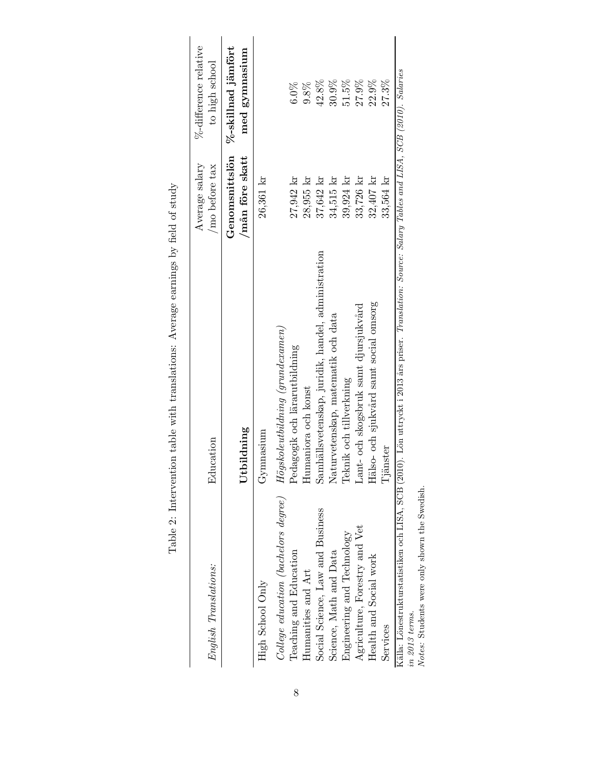<span id="page-7-0"></span>

| English Translations:                | Education                                                                                                                                              | Average salary<br>/mo before tax  | %-difference relative<br>to high school |
|--------------------------------------|--------------------------------------------------------------------------------------------------------------------------------------------------------|-----------------------------------|-----------------------------------------|
|                                      | Utbildning                                                                                                                                             | Genomsnittslön<br>/mån före skatt | %-skillnad jämfört<br>med gymnasium     |
| High School Only                     | Gymnasium                                                                                                                                              | 26,361 kr                         |                                         |
| College education (bachelors degree) | $H\ddot{o}gskole utbildning\ (grundexamen)$                                                                                                            |                                   |                                         |
| Teaching and Education               | Pedagogik och lärarutbildning                                                                                                                          | 27,942 kr                         | 6.0%                                    |
| Humanities and Art                   | Humaniora och konst                                                                                                                                    | 28,955 kr                         | 9.8%                                    |
| Social Science, Law and Business     | Samhällsvetenskap, juridik, handel, administration                                                                                                     | 37,642 kr                         | 42.8%                                   |
| Science, Math and Data               | Naturvetenskap, matematik och data                                                                                                                     | 34,515 kr                         | $30.9\%$                                |
| Engineering and Technology           | Teknik och tillverkning                                                                                                                                | 39,924 kr                         | 51.5%                                   |
| Agriculture, Forestry and Vet        | Lant- och skogsbruk samt djursjukvård                                                                                                                  | 33,726 kr                         | 27.9%                                   |
| Health and Social work               | Hälso- och sjukvård samt social omsorg                                                                                                                 | 32,407 kr                         | 22.9%                                   |
| Services                             | Tjänster                                                                                                                                               | 33,564 kr                         | 27.3%                                   |
| in 2013 terms.                       | Källa: Lönestrukturstatistiken och LISA, SCB (2010). Lön uttryckt i 2013 års priser. Translation: Source: Salary Tables and LISA, SCB (2010). Salaries |                                   |                                         |

Table 2: Intervention table with translations: Average earnings by field of study Table 2: Intervention table with translations: Average earnings by field of study

Notes: Students were only shown the Swedish.

Notes: Students were only shown the Swedish.